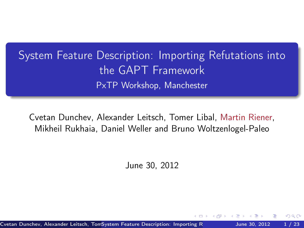System Feature Description: Importing Refutations into the GAPT Framework PxTP Workshop, Manchester

Cvetan Dunchev, Alexander Leitsch, Tomer Libal, Martin Riener, Mikheil Rukhaia, Daniel Weller and Bruno Woltzenlogel-Paleo

June 30, 2012

Cvetan Dunchev, Alexander Leitsch, TomSystem Feature Description: Importing Refunding 10, 2012 1 / 23

<span id="page-0-0"></span>つひい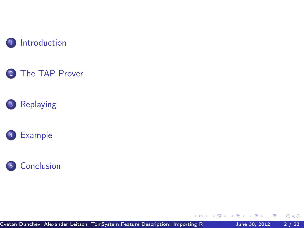









Cvetan Dunchev, Alexander Leitsch, TomSystem Feature Description: Importing Refunding  $\overline{R}$  June 30, 2012 2 / 23

 $\blacksquare$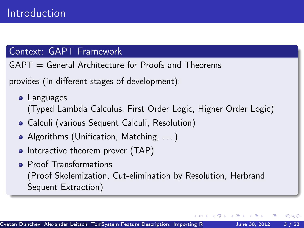# Context: GAPT Framework

 $GAPT = General Architecture for Proofs and Theorems$ 

provides (in different stages of development):

- **•** Languages (Typed Lambda Calculus, First Order Logic, Higher Order Logic)
- Calculi (various Sequent Calculi, Resolution)
- Algorithms (Unification, Matching, ...)
- Interactive theorem prover (TAP)
- <span id="page-2-0"></span>**• Proof Transformations** (Proof Skolemization, Cut-elimination by Resolution, Herbrand Sequent Extraction)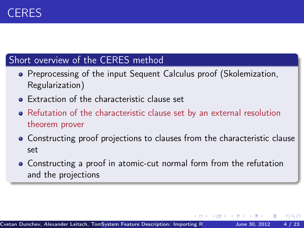# Short overview of the CERES method

- **Preprocessing of the input Sequent Calculus proof (Skolemization,** Regularization)
- **•** Extraction of the characteristic clause set
- Refutation of the characteristic clause set by an external resolution theorem prover
- Constructing proof projections to clauses from the characteristic clause set

 $200$ 

Constructing a proof in atomic-cut normal form from the refutation and the projections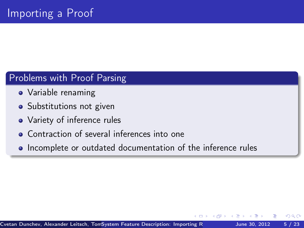# Problems with Proof Parsing

- Variable renaming
- Substitutions not given
- Variety of inference rules
- **Contraction of several inferences into one**
- Incomplete or outdated documentation of the inference rules

つひひ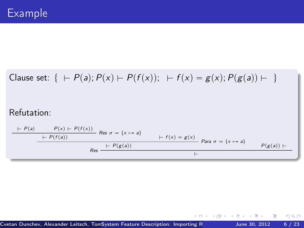Clause set:  $\{ +P(a); P(x) \vdash P(f(x)); + f(x) = g(x); P(g(a)) \vdash \}$ Refutation:  $\frac{\mathcal{P}(x) + \mathcal{P}(f(x))}{\mathcal{P}(x) + \mathcal{P}(f(x))}$  Res  $\sigma = \{x \mapsto a\}$  $\begin{aligned} \begin{aligned} &\vdash P(f(a)) \quad \text{if } f(x) = g(x) \\ &\vdash f(x) = g(x) \quad \text{if } f(x) \rightarrow g(x) \end{aligned} \end{aligned}$  $Res \begin{array}{c} \begin{array}{c} \vdash P(g(a)) \end{array} \longrightarrow \begin{array}{c} P(g(a)) \vdash \end{array}$ 

 $\overline{1}$ 

э

 $298$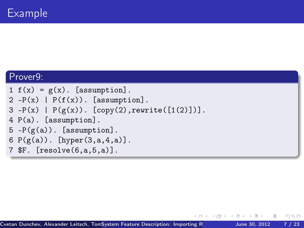#### Prover9:

 $1 f(x) = g(x)$ . [assumption].  $2 - P(x)$  |  $P(f(x))$ . [assumption].  $3 - P(x)$  |  $P(g(x))$ . [copy(2), rewrite([1(2)])]. 4 P(a). [assumption].  $5 - P(g(a))$ . [assumption]. 6  $P(g(a))$ . [hyper(3,a,4,a)]. 7 \$F. [resolve(6,a,5,a)].

 $QQQ$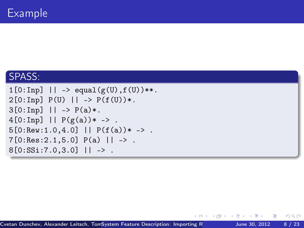# SPASS:

```
1[0:Inp] || -> equal(g(U),f(U))**.
2[0:Inp] P(U) || -> P(f(U))*.
3[0:Inp] || -> P(a)*.
4[0:Imp] || P(g(a)) * - > .5[0:Rev: 1.0, 4.0] || P(f(a)) * - > .7[0:Res:2.1,5.0] P(a) | \rightarrow .
8[0:SSi:7.0,3.0] || -> .
```
 $\leftarrow$   $\Box$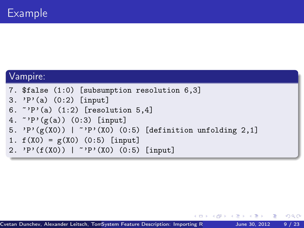#### Vampire:

```
7. $false (1:0) [subsumption resolution 6,3]
3. 'P'(a) (0:2) [input]
6. \degree'P'(a) (1:2) [resolution 5,4]
4. \gamma P'(\text{g}(a)) (0:3) [input]
5. 'P'(\text{g}(X0)) | ''P'(X0) (0:5) [definition unfolding 2,1]
1. f(X0) = g(X0) (0:5) [input]
2. 'P'(f(X0)) | ~'P'(X0) (0:5) [input]
```
 $=$   $\Omega$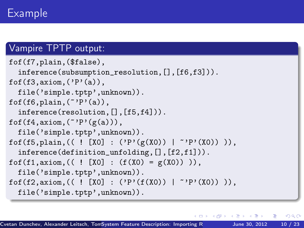# Vampire TPTP output:

```
fof(f7,plain,($false),
  inference(subsumption_resolution,[],[f6,f3])).
fof(f3,axiom,('P'(a)),
  file('simple.tptp',unknown)).
fof(f6,plain,("P'(a)),
  inference(resolution,[],[f5,f4])).
fof(f4,axiom,(\tilde{P}^{\prime}P^{\prime}(g(a))),
  file('simple.tptp',unknown)).
fof(f5,plain,(( ! [X0] : ('P'(g(X0)) | ~'P'(X0)) )),
  inference(definition_unfolding,[],[f2,f1])).
fof(f1,axiom, (( ! [X0] : (f(X0) = g(X0))),
  file('simple.tptp',unknown)).
fof(f2,axiom,(( ! [X0] : ('P'(f(X0)) | ~'P'(X0)) )),
  file('simple.tptp',unknown)).
```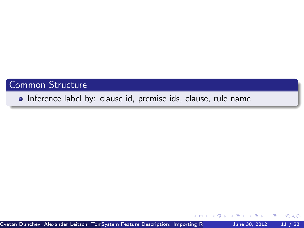# Common Structure

Inference label by: clause id, premise ids, clause, rule name

Cvetan Dunchev, Alexander Leitsch, TomSystem Feature Description: Importing Refutation Martin Rukhaia, 2012 11 / 23

∢⊡

 $\Omega$ 

э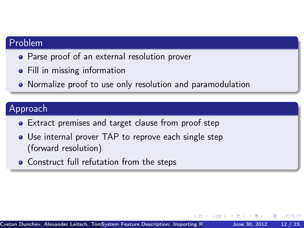## Problem

- Parse proof of an external resolution prover
- Fill in missing information
- Normalize proof to use only resolution and paramodulation

# Approach

- Extract premises and target clause from proof step
- Use internal prover TAP to reprove each single step (forward resolution)
- **•** Construct full refutation from the steps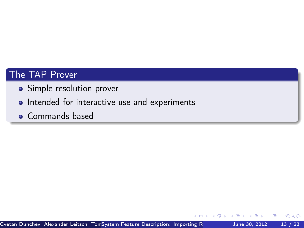# The TAP Prover

- Simple resolution prover
- Intended for interactive use and experiments
- **Commands based**

 $\leftarrow$ 

<span id="page-12-0"></span> $200$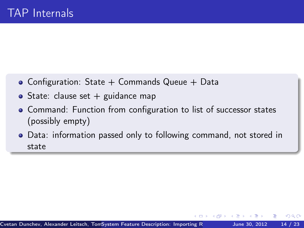- Configuration: State  $+$  Commands Queue  $+$  Data
- State: clause set  $+$  guidance map
- Command: Function from configuration to list of successor states (possibly empty)
- Data: information passed only to following command, not stored in state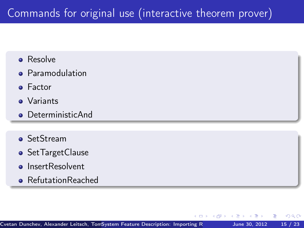# Commands for original use (interactive theorem prover)

- **•** Resolve
- **•** Paramodulation
- **•** Factor
- **O** Variants
- **O** DeterministicAnd
- **o** SetStream
- **•** SetTargetClause
- **•** InsertResolvent
- RefutationReached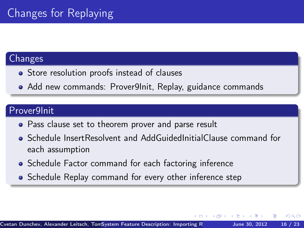### **Changes**

- Store resolution proofs instead of clauses
- Add new commands: Prover9Init, Replay, guidance commands

# Prover9Init

- Pass clause set to theorem prover and parse result
- Schedule InsertResolvent and AddGuidedInitialClause command for each assumption
- Schedule Factor command for each factoring inference
- Schedule Replay command for every other inference step

<span id="page-15-0"></span>つひひ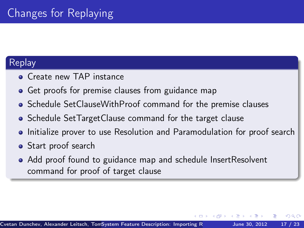# Replay

- **Create new TAP instance**
- Get proofs for premise clauses from guidance map
- Schedule SetClauseWithProof command for the premise clauses
- Schedule SetTargetClause command for the target clause
- Initialize prover to use Resolution and Paramodulation for proof search
- Start proof search
- Add proof found to guidance map and schedule InsertResolvent command for proof of target clause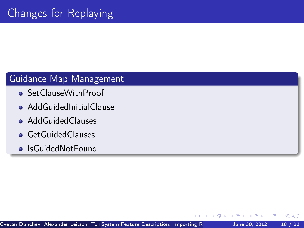# Guidance Map Management

- SetClauseWithProof
- **AddGuidedInitialClause**
- **•** AddGuidedClauses
- **•** GetGuidedClauses
- **•** IsGuidedNotFound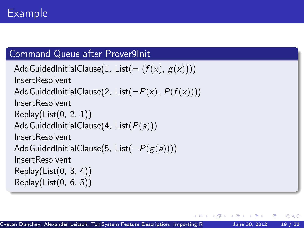# Command Queue after Prover9Init

```
AddGuidedInitialClause(1, List(= (f(x), g(x))))
InsertResolvent
AddGuidedInitialClause(2, List(-P(x), P(f(x))))
InsertResolvent
Replay(List(0, 2, 1))
AddGuidedInitialClause(4, List(P(a)))
InsertResolvent
AddGuidedInitialClause(5, List(-P(g(a))))
InsertResolvent
Replay(List(0, 3, 4))
Replay(List(0, 6, 5))
```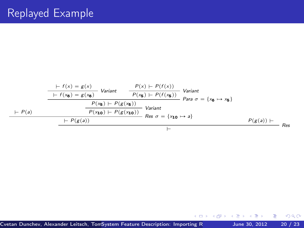$$
+ P(s) = g(x) \t\tVarian t
$$
\n
$$
+ f(x_0) = g(x_0)
$$
\n
$$
+ P(s_0) = g(x_0)
$$
\n
$$
+ P(s_0) + P(s(x_0)) - P(s(x_0))
$$
\n
$$
+ P(s_0)
$$
\n
$$
+ P(s_0)
$$
\n
$$
+ P(s_0)
$$
\n
$$
+ P(s_0)
$$
\n
$$
+ P(s_0)
$$
\n
$$
+ P(s_0)
$$
\n
$$
+ P(s_0)
$$
\n
$$
+ P(s_0)
$$
\n
$$
+ P(s_0)
$$
\n
$$
+ P(s_0)
$$
\n
$$
+ P(s_0)
$$
\n
$$
+ P(s_0)
$$
\n
$$
+ P(s_0)
$$
\n
$$
+ P(s_0)
$$

重

**K ロ ▶ K 何 ▶ K** 

 $\mathbf{p}$ Þ ×

∍ ×  $299$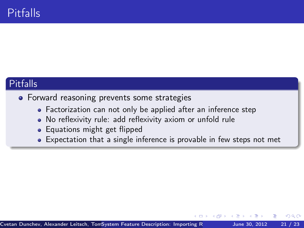# Pitfalls

#### • Forward reasoning prevents some strategies

- Factorization can not only be applied after an inference step
- No reflexivity rule: add reflexivity axiom or unfold rule
- Equations might get flipped
- Expectation that a single inference is provable in few steps not met

<span id="page-20-0"></span>つひひ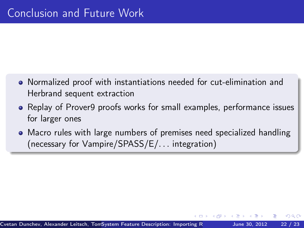- Normalized proof with instantiations needed for cut-elimination and Herbrand sequent extraction
- Replay of Prover9 proofs works for small examples, performance issues for larger ones
- Macro rules with large numbers of premises need specialized handling (necessary for Vampire/SPASS/E/. . . integration)